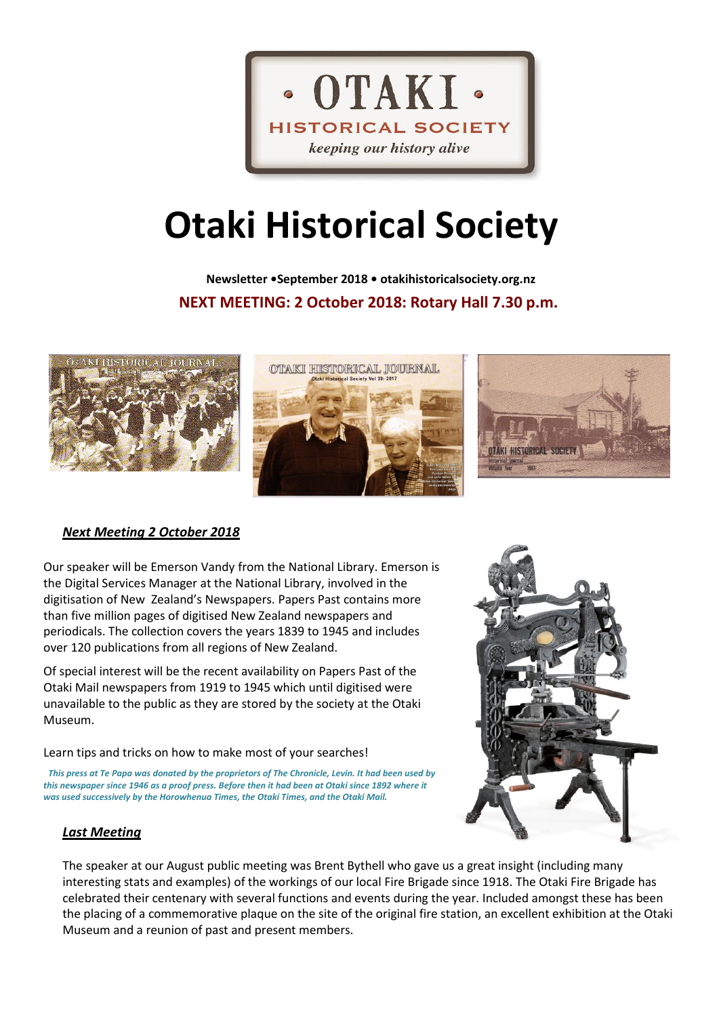

# **Otaki Historical Society**

 **Newsletter •September 2018 • otakihistoricalsociety.org.nz NEXT MEETING: 2 October 2018: Rotary Hall 7.30 p.m.**







## *Next Meeting 2 October 2018*

Our speaker will be Emerson Vandy from the National Library. Emerson is the Digital Services Manager at the National Library, involved in the digitisation of New Zealand's Newspapers. Papers Past contains more than five million pages of digitised New Zealand newspapers and periodicals. The collection covers the years 1839 to 1945 and includes over 120 publications from all regions of New Zealand.

Of special interest will be the recent availability on Papers Past of the Otaki Mail newspapers from 1919 to 1945 which until digitised were unavailable to the public as they are stored by the society at the Otaki Museum.

Learn tips and tricks on how to make most of your searches!

*This press at Te Papa was donated by the proprietors of The Chronicle, Levin. It had been used by this newspaper since 1946 as a proof press. Before then it had been at Otaki since 1892 where it was used successively by the Horowhenua Times, the Otaki Times, and the Otaki Mail.*



#### *Last Meeting*

The speaker at our August public meeting was Brent Bythell who gave us a great insight (including many interesting stats and examples) of the workings of our local Fire Brigade since 1918. The Otaki Fire Brigade has celebrated their centenary with several functions and events during the year. Included amongst these has been the placing of a commemorative plaque on the site of the original fire station, an excellent exhibition at the Otaki Museum and a reunion of past and present members.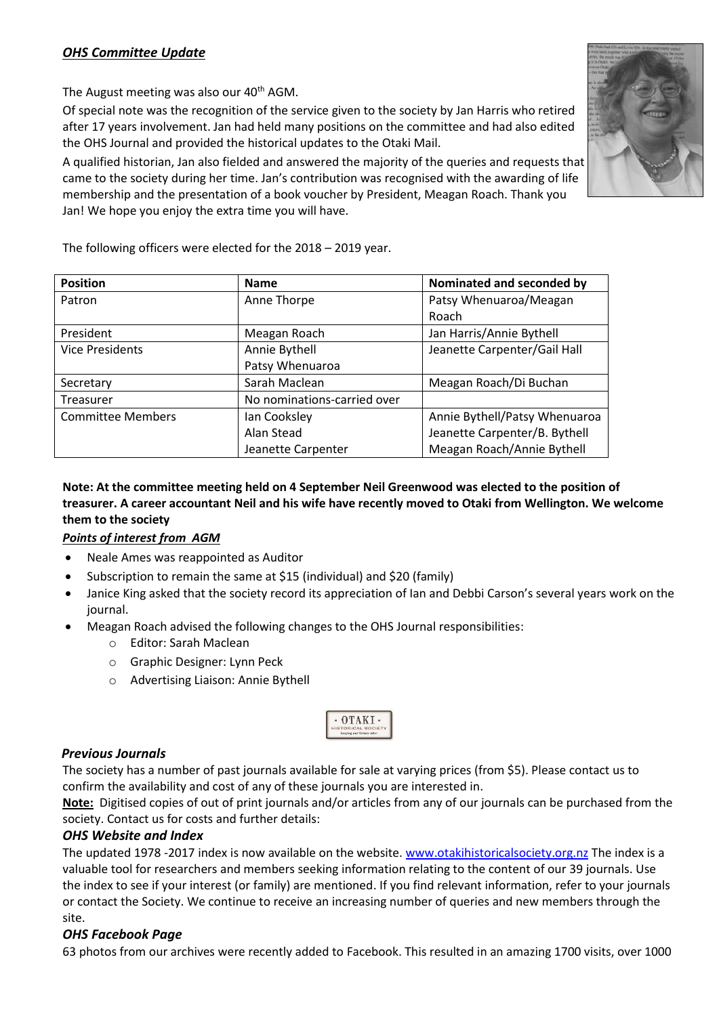## *OHS Committee Update*

The August meeting was also our  $40<sup>th</sup>$  AGM.

Of special note was the recognition of the service given to the society by Jan Harris who retired after 17 years involvement. Jan had held many positions on the committee and had also edited the OHS Journal and provided the historical updates to the Otaki Mail.

A qualified historian, Jan also fielded and answered the majority of the queries and requests that came to the society during her time. Jan's contribution was recognised with the awarding of life membership and the presentation of a book voucher by President, Meagan Roach. Thank you Jan! We hope you enjoy the extra time you will have.



| <b>Position</b>          | <b>Name</b>                 | Nominated and seconded by     |  |
|--------------------------|-----------------------------|-------------------------------|--|
| Patron                   | Anne Thorpe                 | Patsy Whenuaroa/Meagan        |  |
|                          |                             | Roach                         |  |
| President                | Meagan Roach                | Jan Harris/Annie Bythell      |  |
| <b>Vice Presidents</b>   | Annie Bythell               | Jeanette Carpenter/Gail Hall  |  |
|                          | Patsy Whenuaroa             |                               |  |
| Secretary                | Sarah Maclean               | Meagan Roach/Di Buchan        |  |
| Treasurer                | No nominations-carried over |                               |  |
| <b>Committee Members</b> | Ian Cooksley                | Annie Bythell/Patsy Whenuaroa |  |
|                          | Alan Stead                  | Jeanette Carpenter/B. Bythell |  |
|                          | Jeanette Carpenter          | Meagan Roach/Annie Bythell    |  |

### **Note: At the committee meeting held on 4 September Neil Greenwood was elected to the position of treasurer. A career accountant Neil and his wife have recently moved to Otaki from Wellington. We welcome them to the society**

## *Points of interest from AGM*

- Neale Ames was reappointed as Auditor
- Subscription to remain the same at \$15 (individual) and \$20 (family)
- Janice King asked that the society record its appreciation of Ian and Debbi Carson's several years work on the journal.
- Meagan Roach advised the following changes to the OHS Journal responsibilities:
	- o Editor: Sarah Maclean
	- o Graphic Designer: Lynn Peck
	- o Advertising Liaison: Annie Bythell



#### *Previous Journals*

The society has a number of past journals available for sale at varying prices (from \$5). Please contact us to confirm the availability and cost of any of these journals you are interested in.

**Note:** Digitised copies of out of print journals and/or articles from any of our journals can be purchased from the society. Contact us for costs and further details:

#### *OHS Website and Index*

The updated 1978 -2017 index is now available on the website. [www.otakihistoricalsociety.org.nz](http://www.otakihistoricalsociety.org.nz/) The index is a valuable tool for researchers and members seeking information relating to the content of our 39 journals. Use the index to see if your interest (or family) are mentioned. If you find relevant information, refer to your journals or contact the Society. We continue to receive an increasing number of queries and new members through the site.

## *OHS Facebook Page*

63 photos from our archives were recently added to Facebook. This resulted in an amazing 1700 visits, over 1000

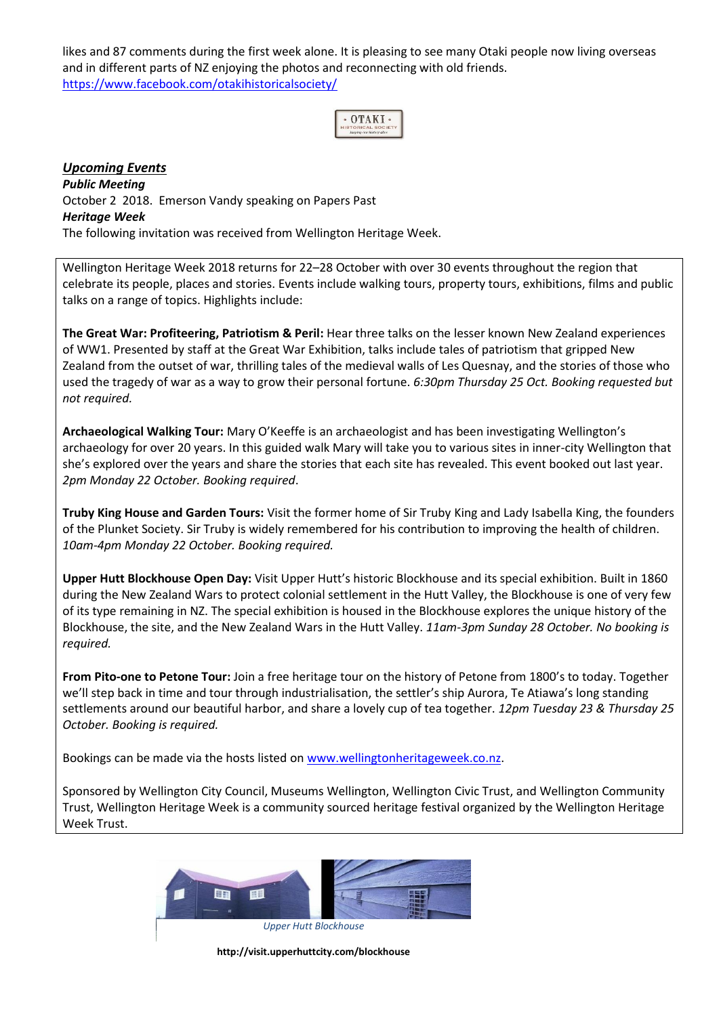likes and 87 comments during the first week alone. It is pleasing to see many Otaki people now living overseas and in different parts of NZ enjoying the photos and reconnecting with old friends. <https://www.facebook.com/otakihistoricalsociety/>



#### *Upcoming Events Public Meeting* October 2 2018. Emerson Vandy speaking on Papers Past *Heritage Week* The following invitation was received from Wellington Heritage Week.

Wellington Heritage Week 2018 returns for 22–28 October with over 30 events throughout the region that celebrate its people, places and stories. Events include walking tours, property tours, exhibitions, films and public talks on a range of topics. Highlights include:

**The Great War: Profiteering, Patriotism & Peril:** Hear three talks on the lesser known New Zealand experiences of WW1. Presented by staff at the Great War Exhibition, talks include tales of patriotism that gripped New Zealand from the outset of war, thrilling tales of the medieval walls of Les Quesnay, and the stories of those who used the tragedy of war as a way to grow their personal fortune. *6:30pm Thursday 25 Oct. Booking requested but not required.*

**Archaeological Walking Tour:** Mary O'Keeffe is an archaeologist and has been investigating Wellington's archaeology for over 20 years. In this guided walk Mary will take you to various sites in inner-city Wellington that she's explored over the years and share the stories that each site has revealed. This event booked out last year. *2pm Monday 22 October. Booking required*.

**Truby King House and Garden Tours:** Visit the former home of Sir Truby King and Lady Isabella King, the founders of the Plunket Society. Sir Truby is widely remembered for his contribution to improving the health of children. *10am-4pm Monday 22 October. Booking required.*

**Upper Hutt Blockhouse Open Day:** Visit Upper Hutt's historic Blockhouse and its special exhibition. Built in 1860 during the New Zealand Wars to protect colonial settlement in the Hutt Valley, the Blockhouse is one of very few of its type remaining in NZ. The special exhibition is housed in the Blockhouse explores the unique history of the Blockhouse, the site, and the New Zealand Wars in the Hutt Valley. *11am-3pm Sunday 28 October. No booking is required.* 

**From Pito-one to Petone Tour:** Join a free heritage tour on the history of Petone from 1800's to today. Together we'll step back in time and tour through industrialisation, the settler's ship Aurora, Te Atiawa's long standing settlements around our beautiful harbor, and share a lovely cup of tea together. *12pm Tuesday 23 & Thursday 25 October. Booking is required.*

Bookings can be made via the hosts listed on [www.wellingtonheritageweek.co.nz.](http://www.wellingtonheritageweek.co.nz/)

Sponsored by Wellington City Council, Museums Wellington, Wellington Civic Trust, and Wellington Community Trust, Wellington Heritage Week is a community sourced heritage festival organized by the Wellington Heritage Week Trust.



*Upper Hutt Blockhouse*

**http://visit.upperhuttcity.com/blockhouse**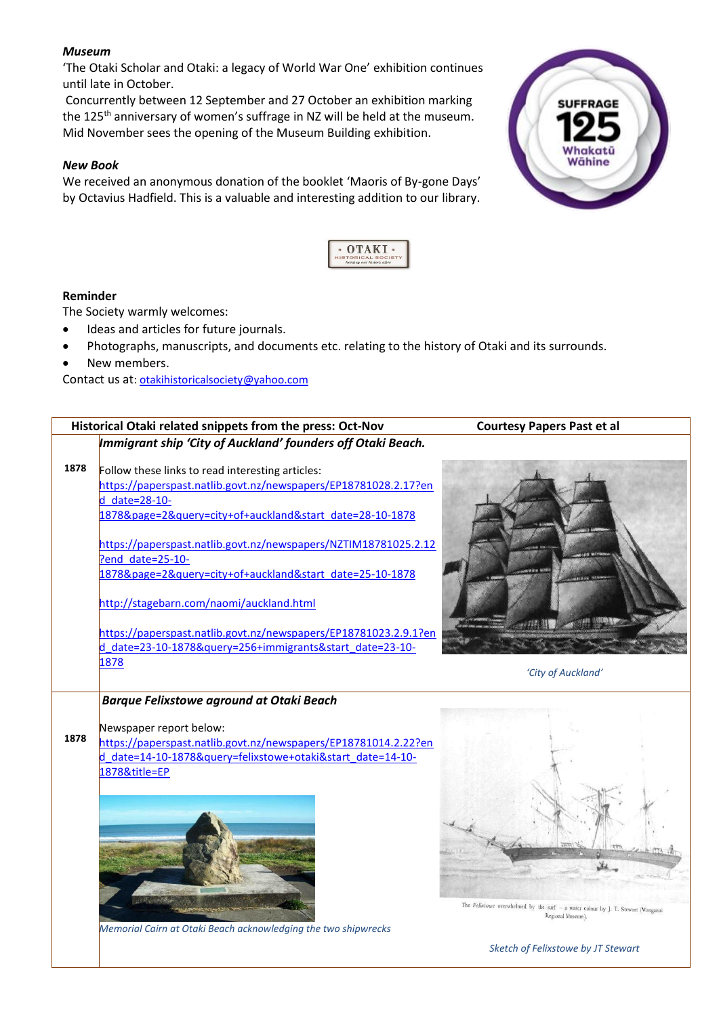#### *Museum*

'The Otaki Scholar and Otaki: a legacy of World War One' exhibition continues until late in October.

Concurrently between 12 September and 27 October an exhibition marking the 125<sup>th</sup> anniversary of women's suffrage in NZ will be held at the museum. Mid November sees the opening of the Museum Building exhibition.

#### *New Book*

We received an anonymous donation of the booklet 'Maoris of By-gone Days' by Octavius Hadfield. This is a valuable and interesting addition to our library.





#### **Reminder**

The Society warmly welcomes:

- Ideas and articles for future journals.
- Photographs, manuscripts, and documents etc. relating to the history of Otaki and its surrounds.
- New members.

Contact us at[: otakihistoricalsociety@yahoo.com](mailto:otakihistoricalsociety@yahoo.com)



*Sketch of Felixstowe by JT Stewart*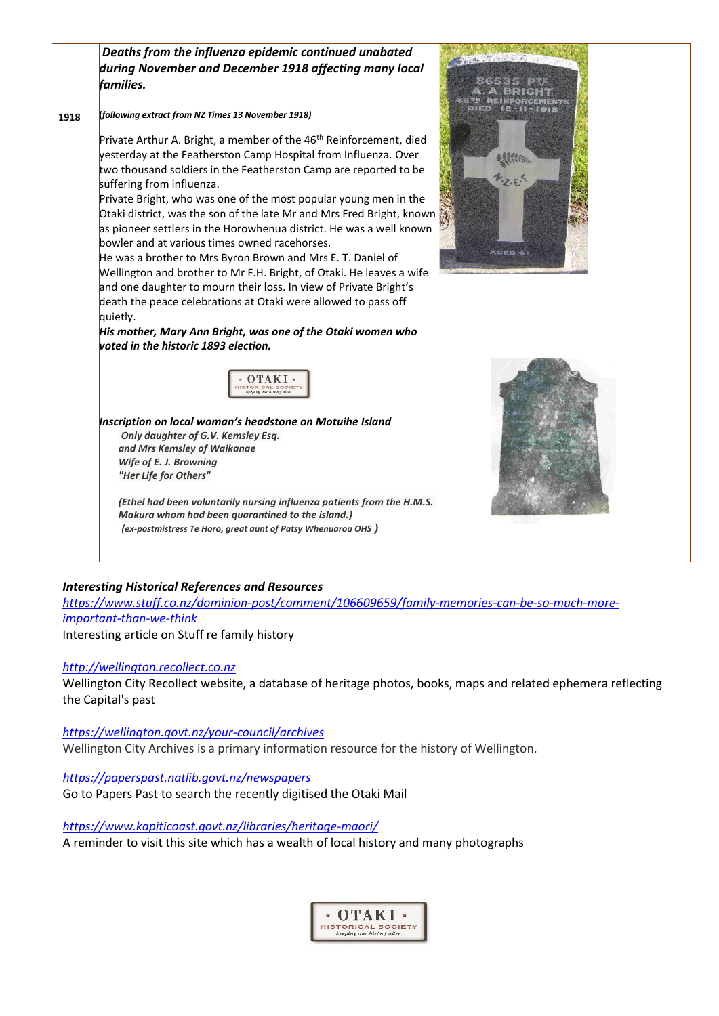|      | Deaths from the influenza epidemic continued unabated<br>during November and December 1918 affecting many local<br>families.                                                                                                                                                                                                                                                                                                                                                                                                                                                                                                                                                                                                                                                                                      |                |
|------|-------------------------------------------------------------------------------------------------------------------------------------------------------------------------------------------------------------------------------------------------------------------------------------------------------------------------------------------------------------------------------------------------------------------------------------------------------------------------------------------------------------------------------------------------------------------------------------------------------------------------------------------------------------------------------------------------------------------------------------------------------------------------------------------------------------------|----------------|
| 1918 | (following extract from NZ Times 13 November 1918)                                                                                                                                                                                                                                                                                                                                                                                                                                                                                                                                                                                                                                                                                                                                                                |                |
|      | Private Arthur A. Bright, a member of the 46 <sup>th</sup> Reinforcement, died<br>yesterday at the Featherston Camp Hospital from Influenza. Over<br>two thousand soldiers in the Featherston Camp are reported to be<br>suffering from influenza.<br>Private Bright, who was one of the most popular young men in the<br>Otaki district, was the son of the late Mr and Mrs Fred Bright, known<br>as pioneer settlers in the Horowhenua district. He was a well known<br>bowler and at various times owned racehorses.<br>He was a brother to Mrs Byron Brown and Mrs E. T. Daniel of<br>Wellington and brother to Mr F.H. Bright, of Otaki. He leaves a wife<br>and one daughter to mourn their loss. In view of Private Bright's<br>death the peace celebrations at Otaki were allowed to pass off<br>quietly. | <b>ACED 41</b> |
|      | His mother, Mary Ann Bright, was one of the Otaki women who<br>voted in the historic 1893 election.                                                                                                                                                                                                                                                                                                                                                                                                                                                                                                                                                                                                                                                                                                               |                |
|      | <b>TORICAL SOCIET</b><br>entra our kistory ally                                                                                                                                                                                                                                                                                                                                                                                                                                                                                                                                                                                                                                                                                                                                                                   |                |
|      | Inscription on local woman's headstone on Motuihe Island<br>Only daughter of G.V. Kemsley Esq.<br>and Mrs Kemsley of Waikanae<br>Wife of E. J. Browning<br>"Her Life for Others"                                                                                                                                                                                                                                                                                                                                                                                                                                                                                                                                                                                                                                  |                |
|      | (Ethel had been voluntarily nursing influenza patients from the H.M.S.                                                                                                                                                                                                                                                                                                                                                                                                                                                                                                                                                                                                                                                                                                                                            |                |

#### *Interesting Historical References and Resources*

*[https://www.stuff.co.nz/dominion-post/comment/106609659/family-memories-can-be-so-much-more](https://www.stuff.co.nz/dominion-post/comment/106609659/family-memories-can-be-so-much-more-important-than-we-think)[important-than-we-think](https://www.stuff.co.nz/dominion-post/comment/106609659/family-memories-can-be-so-much-more-important-than-we-think)* Interesting article on Stuff re family history

#### *[http://wellington.recollect.co.nz](http://wellington.recollect.co.nz/)*

Wellington City Recollect website, a database of heritage photos, books, maps and related ephemera reflecting the Capital's past

*<https://wellington.govt.nz/your-council/archives>*

Wellington City Archives is a primary information resource for the history of Wellington.

*https://paperspast.natlib.govt.nz/newspapers* Go to Papers Past to search the recently digitised the Otaki Mail

*Makura whom had been quarantined to the island.) (ex-postmistress Te Horo, great aunt of Patsy Whenuaroa OHS )*

*<https://www.kapiticoast.govt.nz/libraries/heritage-maori/>* A reminder to visit this site which has a wealth of local history and many photographs